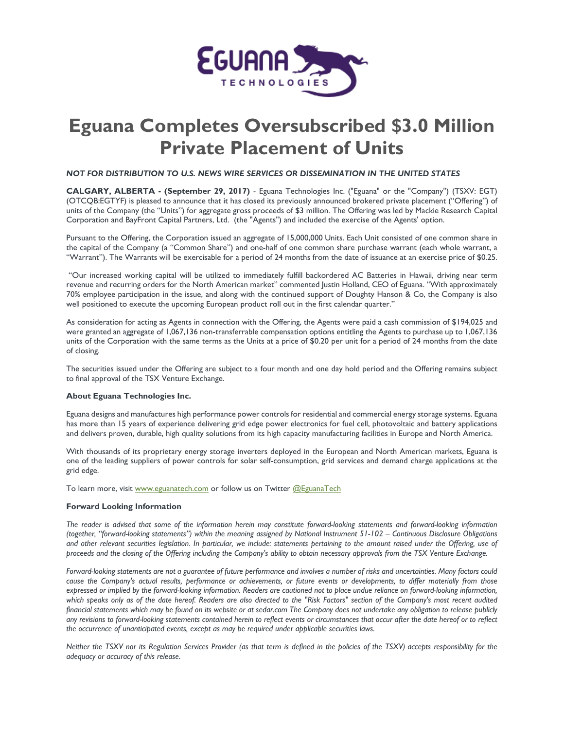

## **Eguana Completes Oversubscribed \$3.0 Million Private Placement of Units**

## *NOT FOR DISTRIBUTION TO U.S. NEWS WIRE SERVICES OR DISSEMINATION IN THE UNITED STATES*

**CALGARY, ALBERTA - (September 29, 2017)** - Eguana Technologies Inc. ("Eguana" or the "Company") (TSXV: EGT) (OTCQB:EGTYF) is pleased to announce that it has closed its previously announced brokered private placement ("Offering") of units of the Company (the "Units") for aggregate gross proceeds of \$3 million. The Offering was led by Mackie Research Capital Corporation and BayFront Capital Partners, Ltd. (the "Agents") and included the exercise of the Agents' option.

Pursuant to the Offering, the Corporation issued an aggregate of 15,000,000 Units. Each Unit consisted of one common share in the capital of the Company (a "Common Share") and one-half of one common share purchase warrant (each whole warrant, a "Warrant"). The Warrants will be exercisable for a period of 24 months from the date of issuance at an exercise price of \$0.25.

"Our increased working capital will be utilized to immediately fulfill backordered AC Batteries in Hawaii, driving near term revenue and recurring orders for the North American market" commented Justin Holland, CEO of Eguana. "With approximately 70% employee participation in the issue, and along with the continued support of Doughty Hanson & Co, the Company is also well positioned to execute the upcoming European product roll out in the first calendar quarter."

As consideration for acting as Agents in connection with the Offering, the Agents were paid a cash commission of \$194,025 and were granted an aggregate of 1,067,136 non-transferrable compensation options entitling the Agents to purchase up to 1,067,136 units of the Corporation with the same terms as the Units at a price of \$0.20 per unit for a period of 24 months from the date of closing.

The securities issued under the Offering are subject to a four month and one day hold period and the Offering remains subject to final approval of the TSX Venture Exchange.

## **About Eguana Technologies Inc.**

Eguana designs and manufactures high performance power controls for residential and commercial energy storage systems. Eguana has more than 15 years of experience delivering grid edge power electronics for fuel cell, photovoltaic and battery applications and delivers proven, durable, high quality solutions from its high capacity manufacturing facilities in Europe and North America.

With thousands of its proprietary energy storage inverters deployed in the European and North American markets, Eguana is one of the leading suppliers of power controls for solar self-consumption, grid services and demand charge applications at the grid edge.

To learn more, visit [www.eguanatech.com](http://www.eguanatech.com/) or follow us on Twitter [@EguanaTech](https://twitter.com/EguanaTech)

## **Forward Looking Information**

*The reader is advised that some of the information herein may constitute forward-looking statements and forward-looking information (together, "forward-looking statements") within the meaning assigned by National Instrument 51-102 – Continuous Disclosure Obligations and other relevant securities legislation. In particular, we include: statements pertaining to the amount raised under the Offering, use of proceeds and the closing of the Offering including the Company's ability to obtain necessary approvals from the TSX Venture Exchange.*

*Forward-looking statements are not a guarantee of future performance and involves a number of risks and uncertainties. Many factors could cause the Company's actual results, performance or achievements, or future events or developments, to differ materially from those expressed or implied by the forward-looking information. Readers are cautioned not to place undue reliance on forward-looking information, which speaks only as of the date hereof. Readers are also directed to the "Risk Factors" section of the Company's most recent audited financial statements which may be found on its website or at sedar.com The Company does not undertake any obligation to release publicly any revisions to forward-looking statements contained herein to reflect events or circumstances that occur after the date hereof or to reflect the occurrence of unanticipated events, except as may be required under applicable securities laws.*

*Neither the TSXV nor its Regulation Services Provider (as that term is defined in the policies of the TSXV) accepts responsibility for the adequacy or accuracy of this release.*